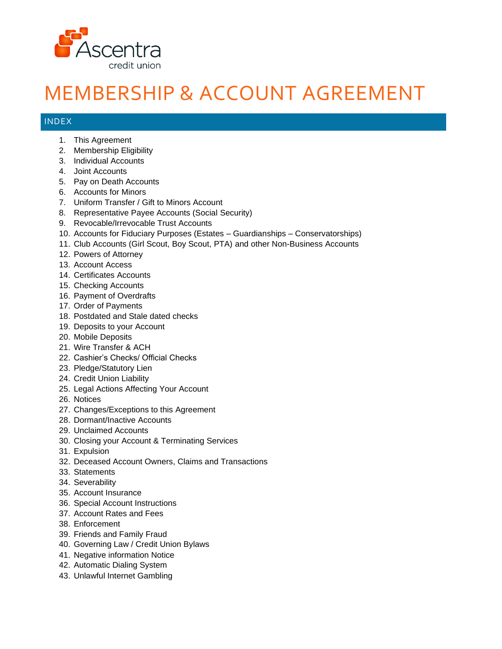

## MEMBERSHIP & ACCOUNT AGREEMENT

## INDEX

- 1. This Agreement
- 2. Membership Eligibility
- 3. Individual Accounts
- 4. Joint Accounts
- 5. Pay on Death Accounts
- 6. Accounts for Minors
- 7. Uniform Transfer / Gift to Minors Account
- 8. Representative Payee Accounts (Social Security)
- 9. Revocable/Irrevocable Trust Accounts
- 10. Accounts for Fiduciary Purposes (Estates Guardianships Conservatorships)
- 11. Club Accounts (Girl Scout, Boy Scout, PTA) and other Non-Business Accounts
- 12. Powers of Attorney
- 13. Account Access
- 14. Certificates Accounts
- 15. Checking Accounts
- 16. Payment of Overdrafts
- 17. Order of Payments
- 18. Postdated and Stale dated checks
- 19. Deposits to your Account
- 20. Mobile Deposits
- 21. Wire Transfer & ACH
- 22. Cashier's Checks/ Official Checks
- 23. Pledge/Statutory Lien
- 24. Credit Union Liability
- 25. Legal Actions Affecting Your Account
- 26. Notices
- 27. Changes/Exceptions to this Agreement
- 28. Dormant/Inactive Accounts
- 29. Unclaimed Accounts
- 30. Closing your Account & Terminating Services
- 31. Expulsion
- 32. Deceased Account Owners, Claims and Transactions
- 33. Statements
- 34. Severability
- 35. Account Insurance
- 36. Special Account Instructions
- 37. Account Rates and Fees
- 38. Enforcement
- 39. Friends and Family Fraud
- 40. Governing Law / Credit Union Bylaws
- 41. Negative information Notice
- 42. Automatic Dialing System
- 43. Unlawful Internet Gambling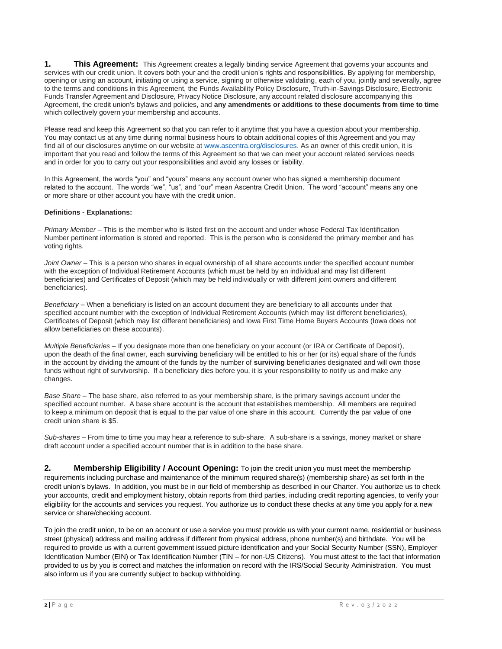**1. This Agreement:** This Agreement creates a legally binding service Agreement that governs your accounts and services with our credit union. It covers both your and the credit union's rights and responsibilities. By applying for membership, opening or using an account, initiating or using a service, signing or otherwise validating, each of you, jointly and severally, agree to the terms and conditions in this Agreement, the Funds Availability Policy Disclosure, Truth-in-Savings Disclosure, Electronic Funds Transfer Agreement and Disclosure, Privacy Notice Disclosure, any account related disclosure accompanying this Agreement, the credit union's bylaws and policies, and **any amendments or additions to these documents from time to time** which collectively govern your membership and accounts.

Please read and keep this Agreement so that you can refer to it anytime that you have a question about your membership. You may contact us at any time during normal business hours to obtain additional copies of this Agreement and you may find all of our disclosures anytime on our website at [www.ascentra.org/](http://www.ascentra.org/)disclosures. As an owner of this credit union, it is important that you read and follow the terms of this Agreement so that we can meet your account related services needs and in order for you to carry out your responsibilities and avoid any losses or liability.

In this Agreement, the words "you" and "yours" means any account owner who has signed a membership document related to the account. The words "we", "us", and "our" mean Ascentra Credit Union. The word "account" means any one or more share or other account you have with the credit union.

## **Definitions - Explanations:**

*Primary Member* – This is the member who is listed first on the account and under whose Federal Tax Identification Number pertinent information is stored and reported. This is the person who is considered the primary member and has voting rights.

*Joint Owner* – This is a person who shares in equal ownership of all share accounts under the specified account number with the exception of Individual Retirement Accounts (which must be held by an individual and may list different beneficiaries) and Certificates of Deposit (which may be held individually or with different joint owners and different beneficiaries).

*Beneficiary* – When a beneficiary is listed on an account document they are beneficiary to all accounts under that specified account number with the exception of Individual Retirement Accounts (which may list different beneficiaries), Certificates of Deposit (which may list different beneficiaries) and Iowa First Time Home Buyers Accounts (Iowa does not allow beneficiaries on these accounts).

*Multiple Beneficiaries* – If you designate more than one beneficiary on your account (or IRA or Certificate of Deposit), upon the death of the final owner, each **surviving** beneficiary will be entitled to his or her (or its) equal share of the funds in the account by dividing the amount of the funds by the number of **surviving** beneficiaries designated and will own those funds without right of survivorship. If a beneficiary dies before you, it is your responsibility to notify us and make any changes.

*Base Share* – The base share, also referred to as your membership share, is the primary savings account under the specified account number. A base share account is the account that establishes membership. All members are required to keep a minimum on deposit that is equal to the par value of one share in this account. Currently the par value of one credit union share is \$5.

*Sub-shares* – From time to time you may hear a reference to sub-share. A sub-share is a savings, money market or share draft account under a specified account number that is in addition to the base share.

**2. Membership Eligibility / Account Opening:** To join the credit union you must meet the membership requirements including purchase and maintenance of the minimum required share(s) (membership share) as set forth in the credit union's bylaws. In addition, you must be in our field of membership as described in our Charter. You authorize us to check your accounts, credit and employment history, obtain reports from third parties, including credit reporting agencies, to verify your eligibility for the accounts and services you request. You authorize us to conduct these checks at any time you apply for a new service or share/checking account.

To join the credit union, to be on an account or use a service you must provide us with your current name, residential or business street (physical) address and mailing address if different from physical address, phone number(s) and birthdate. You will be required to provide us with a current government issued picture identification and your Social Security Number (SSN), Employer Identification Number (EIN) or Tax Identification Number (TIN – for non-US Citizens). You must attest to the fact that information provided to us by you is correct and matches the information on record with the IRS/Social Security Administration. You must also inform us if you are currently subject to backup withholding.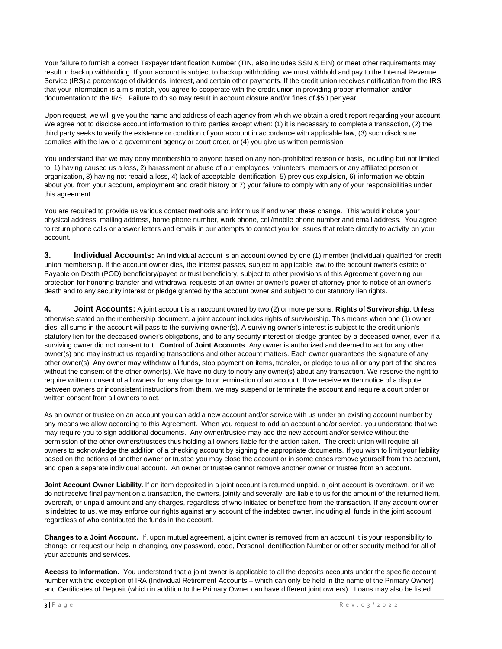Your failure to furnish a correct Taxpayer Identification Number (TIN, also includes SSN & EIN) or meet other requirements may result in backup withholding. If your account is subject to backup withholding, we must withhold and pay to the Internal Revenue Service (IRS) a percentage of dividends, interest, and certain other payments. If the credit union receives notification from the IRS that your information is a mis-match, you agree to cooperate with the credit union in providing proper information and/or documentation to the IRS. Failure to do so may result in account closure and/or fines of \$50 per year.

Upon request, we will give you the name and address of each agency from which we obtain a credit report regarding your account. We agree not to disclose account information to third parties except when: (1) it is necessary to complete a transaction, (2) the third party seeks to verify the existence or condition of your account in accordance with applicable law, (3) such disclosure complies with the law or a government agency or court order, or (4) you give us written permission.

You understand that we may deny membership to anyone based on any non-prohibited reason or basis, including but not limited to: 1) having caused us a loss, 2) harassment or abuse of our employees, volunteers, members or any affiliated person or organization, 3) having not repaid a loss, 4) lack of acceptable identification, 5) previous expulsion, 6) information we obtain about you from your account, employment and credit history or 7) your failure to comply with any of your responsibilities under this agreement.

You are required to provide us various contact methods and inform us if and when these change. This would include your physical address, mailing address, home phone number, work phone, cell/mobile phone number and email address. You agree to return phone calls or answer letters and emails in our attempts to contact you for issues that relate directly to activity on your account.

**3. Individual Accounts:** An individual account is an account owned by one (1) member (individual) qualified for credit union membership. If the account owner dies, the interest passes, subject to applicable law, to the account owner's estate or Payable on Death (POD) beneficiary/payee or trust beneficiary, subject to other provisions of this Agreement governing our protection for honoring transfer and withdrawal requests of an owner or owner's power of attorney prior to notice of an owner's death and to any security interest or pledge granted by the account owner and subject to our statutory lien rights.

**4. Joint Accounts:** A joint account is an account owned by two (2) or more persons. **Rights of Survivorship**. Unless otherwise stated on the membership document, a joint account includes rights of survivorship. This means when one (1) owner dies, all sums in the account will pass to the surviving owner(s). A surviving owner's interest is subject to the credit union's statutory lien for the deceased owner's obligations, and to any security interest or pledge granted by a deceased owner, even if a surviving owner did not consent toit. **Control of Joint Accounts**. Any owner is authorized and deemed to act for any other owner(s) and may instruct us regarding transactions and other account matters. Each owner guarantees the signature of any other owner(s). Any owner may withdraw all funds, stop payment on items, transfer, or pledge to us all or any part of the shares without the consent of the other owner(s). We have no duty to notify any owner(s) about any transaction. We reserve the right to require written consent of all owners for any change to or termination of an account. If we receive written notice of a dispute between owners or inconsistent instructions from them, we may suspend or terminate the account and require a court order or written consent from all owners to act.

As an owner or trustee on an account you can add a new account and/or service with us under an existing account number by any means we allow according to this Agreement. When you request to add an account and/or service, you understand that we may require you to sign additional documents. Any owner/trustee may add the new account and/or service without the permission of the other owners/trustees thus holding all owners liable for the action taken. The credit union will require all owners to acknowledge the addition of a checking account by signing the appropriate documents. If you wish to limit your liability based on the actions of another owner or trustee you may close the account or in some cases remove yourself from the account, and open a separate individual account. An owner or trustee cannot remove another owner or trustee from an account.

**Joint Account Owner Liability**. If an item deposited in a joint account is returned unpaid, a joint account is overdrawn, or if we do not receive final payment on a transaction, the owners, jointly and severally, are liable to us for the amount of the returned item, overdraft, or unpaid amount and any charges, regardless of who initiated or benefited from the transaction. If any account owner is indebted to us, we may enforce our rights against any account of the indebted owner, including all funds in the joint account regardless of who contributed the funds in the account.

**Changes to a Joint Account.** If, upon mutual agreement, a joint owner is removed from an account it is your responsibility to change, or request our help in changing, any password, code, Personal Identification Number or other security method for all of your accounts and services.

**Access to Information.** You understand that a joint owner is applicable to all the deposits accounts under the specific account number with the exception of IRA (Individual Retirement Accounts – which can only be held in the name of the Primary Owner) and Certificates of Deposit (which in addition to the Primary Owner can have different joint owners). Loans may also be listed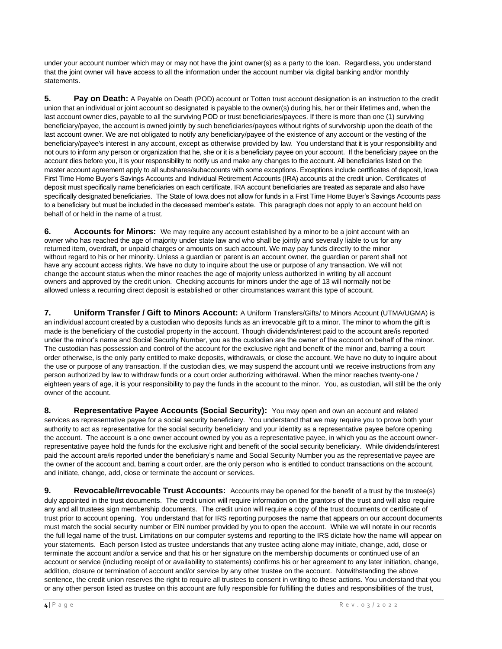under your account number which may or may not have the joint owner(s) as a party to the loan. Regardless, you understand that the joint owner will have access to all the information under the account number via digital banking and/or monthly statements.

**5. Pay on Death:** A Payable on Death (POD) account or Totten trust account designation is an instruction to the credit union that an individual or joint account so designated is payable to the owner(s) during his, her or their lifetimes and, when the last account owner dies, payable to all the surviving POD or trust beneficiaries/payees. If there is more than one (1) surviving beneficiary/payee, the account is owned jointly by such beneficiaries/payees without rights of survivorship upon the death of the last account owner. We are not obligated to notify any beneficiary/payee of the existence of any account or the vesting of the beneficiary/payee's interest in any account, except as otherwise provided by law. You understand that it is your responsibility and not ours to inform any person or organization that he, she or it is a beneficiary payee on your account. If the beneficiary payee on the account dies before you, it is your responsibility to notify us and make any changes to the account. All beneficiaries listed on the master account agreement apply to all subshares/subaccounts with some exceptions. Exceptions include certificates of deposit, Iowa First Time Home Buyer's Savings Accounts and Individual Retirement Accounts (IRA) accounts at the credit union. Certificates of deposit must specifically name beneficiaries on each certificate. IRA account beneficiaries are treated as separate and also have specifically designated beneficiaries. The State of Iowa does not allow for funds in a First Time Home Buyer's Savings Accounts pass to a beneficiary but must be included in the deceased member's estate. This paragraph does not apply to an account held on behalf of or held in the name of a trust.

**6. Accounts for Minors:** We may require any account established by a minor to be a joint account with an owner who has reached the age of majority under state law and who shall be jointly and severally liable to us for any returned item, overdraft, or unpaid charges or amounts on such account. We may pay funds directly to the minor without regard to his or her minority. Unless a guardian or parent is an account owner, the guardian or parent shall not have any account access rights. We have no duty to inquire about the use or purpose of any transaction. We will not change the account status when the minor reaches the age of majority unless authorized in writing by all account owners and approved by the credit union. Checking accounts for minors under the age of 13 will normally not be allowed unless a recurring direct deposit is established or other circumstances warrant this type of account.

**7. Uniform Transfer / Gift to Minors Account:** A Uniform Transfers/Gifts/ to Minors Account (UTMA/UGMA) is an individual account created by a custodian who deposits funds as an irrevocable gift to a minor. The minor to whom the gift is made is the beneficiary of the custodial property in the account. Though dividends/interest paid to the account are/is reported under the minor's name and Social Security Number, you as the custodian are the owner of the account on behalf of the minor. The custodian has possession and control of the account for the exclusive right and benefit of the minor and, barring a court order otherwise, is the only party entitled to make deposits, withdrawals, or close the account. We have no duty to inquire about the use or purpose of any transaction. If the custodian dies, we may suspend the account until we receive instructions from any person authorized by law to withdraw funds or a court order authorizing withdrawal. When the minor reaches twenty-one / eighteen years of age, it is your responsibility to pay the funds in the account to the minor. You, as custodian, will still be the only owner of the account.

8. **Representative Payee Accounts (Social Security):** You may open and own an account and related services as representative payee for a social security beneficiary. You understand that we may require you to prove both your authority to act as representative for the social security beneficiary and your identity as a representative payee before opening the account. The account is a one owner account owned by you as a representative payee, in which you as the account ownerrepresentative payee hold the funds for the exclusive right and benefit of the social security beneficiary. While dividends/interest paid the account are/is reported under the beneficiary's name and Social Security Number you as the representative payee are the owner of the account and, barring a court order, are the only person who is entitled to conduct transactions on the account, and initiate, change, add, close or terminate the account or services.

**9. Revocable/Irrevocable Trust Accounts:** Accounts may be opened for the benefit of a trust by the trustee(s) duly appointed in the trust documents. The credit union will require information on the grantors of the trust and will also require any and all trustees sign membership documents. The credit union will require a copy of the trust documents or certificate of trust prior to account opening. You understand that for IRS reporting purposes the name that appears on our account documents must match the social security number or EIN number provided by you to open the account. While we will notate in our records the full legal name of the trust. Limitations on our computer systems and reporting to the IRS dictate how the name will appear on your statements. Each person listed as trustee understands that any trustee acting alone may initiate, change, add, close or terminate the account and/or a service and that his or her signature on the membership documents or continued use of an account or service (including receipt of or availability to statements) confirms his or her agreement to any later initiation, change, addition, closure or termination of account and/or service by any other trustee on the account. Notwithstanding the above sentence, the credit union reserves the right to require all trustees to consent in writing to these actions. You understand that you or any other person listed as trustee on this account are fully responsible for fulfilling the duties and responsibilities of the trust,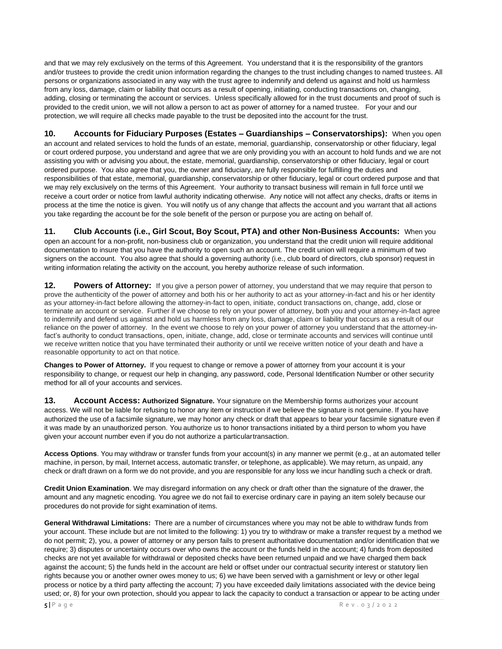and that we may rely exclusively on the terms of this Agreement. You understand that it is the responsibility of the grantors and/or trustees to provide the credit union information regarding the changes to the trust including changes to named trustees. All persons or organizations associated in any way with the trust agree to indemnify and defend us against and hold us harmless from any loss, damage, claim or liability that occurs as a result of opening, initiating, conducting transactions on, changing, adding, closing or terminating the account or services. Unless specifically allowed for in the trust documents and proof of such is provided to the credit union, we will not allow a person to act as power of attorney for a named trustee. For your and our protection, we will require all checks made payable to the trust be deposited into the account for the trust.

**10. Accounts for Fiduciary Purposes (Estates – Guardianships – Conservatorships):** When you open an account and related services to hold the funds of an estate, memorial, guardianship, conservatorship or other fiduciary, legal or court ordered purpose, you understand and agree that we are only providing you with an account to hold funds and we are not assisting you with or advising you about, the estate, memorial, guardianship, conservatorship or other fiduciary, legal or court ordered purpose. You also agree that you, the owner and fiduciary, are fully responsible for fulfilling the duties and responsibilities of that estate, memorial, guardianship, conservatorship or other fiduciary, legal or court ordered purpose and that we may rely exclusively on the terms of this Agreement. Your authority to transact business will remain in full force until we receive a court order or notice from lawful authority indicating otherwise. Any notice will not affect any checks, drafts or items in process at the time the notice is given. You will notify us of any change that affects the account and you warrant that all actions you take regarding the account be for the sole benefit of the person or purpose you are acting on behalf of.

**11. Club Accounts (i.e., Girl Scout, Boy Scout, PTA) and other Non-Business Accounts:** When you open an account for a non-profit, non-business club or organization, you understand that the credit union will require additional documentation to insure that you have the authority to open such an account. The credit union will require a minimum of two signers on the account. You also agree that should a governing authority (i.e., club board of directors, club sponsor) request in writing information relating the activity on the account, you hereby authorize release of such information.

**12. Powers of Attorney:** If you give a person power of attorney, you understand that we may require that person to prove the authenticity of the power of attorney and both his or her authority to act as your attorney-in-fact and his or her identity as your attorney-in-fact before allowing the attorney-in-fact to open, initiate, conduct transactions on, change, add, close or terminate an account or service. Further if we choose to rely on your power of attorney, both you and your attorney-in-fact agree to indemnify and defend us against and hold us harmless from any loss, damage, claim or liability that occurs as a result of our reliance on the power of attorney. In the event we choose to rely on your power of attorney you understand that the attorney-infact's authority to conduct transactions, open, initiate, change, add, close or terminate accounts and services will continue until we receive written notice that you have terminated their authority or until we receive written notice of your death and have a reasonable opportunity to act on that notice.

**Changes to Power of Attorney.** If you request to change or remove a power of attorney from your account it is your responsibility to change, or request our help in changing, any password, code, Personal Identification Number or other security method for all of your accounts and services.

**13. Account Access: Authorized Signature.** Your signature on the Membership forms authorizes your account access. We will not be liable for refusing to honor any item or instruction if we believe the signature is not genuine. If you have authorized the use of a facsimile signature, we may honor any check or draft that appears to bear your facsimile signature even if it was made by an unauthorized person. You authorize us to honor transactions initiated by a third person to whom you have given your account number even if you do not authorize a particulartransaction.

**Access Options**. You may withdraw or transfer funds from your account(s) in any manner we permit (e.g., at an automated teller machine, in person, by mail, Internet access, automatic transfer, or telephone, as applicable). We may return, as unpaid, any check or draft drawn on a form we do not provide, and you are responsible for any loss we incur handling such a check or draft.

**Credit Union Examination**. We may disregard information on any check or draft other than the signature of the drawer, the amount and any magnetic encoding. You agree we do not fail to exercise ordinary care in paying an item solely because our procedures do not provide for sight examination of items.

**General Withdrawal Limitations:** There are a number of circumstances where you may not be able to withdraw funds from your account. These include but are not limited to the following: 1) you try to withdraw or make a transfer request by a method we do not permit; 2), you, a power of attorney or any person fails to present authoritative documentation and/or identification that we require; 3) disputes or uncertainty occurs over who owns the account or the funds held in the account; 4) funds from deposited checks are not yet available for withdrawal or deposited checks have been returned unpaid and we have charged them back against the account; 5) the funds held in the account are held or offset under our contractual security interest or statutory lien rights because you or another owner owes money to us; 6) we have been served with a garnishment or levy or other legal process or notice by a third party affecting the account; 7) you have exceeded daily limitations associated with the device being used; or, 8) for your own protection, should you appear to lack the capacity to conduct a transaction or appear to be acting under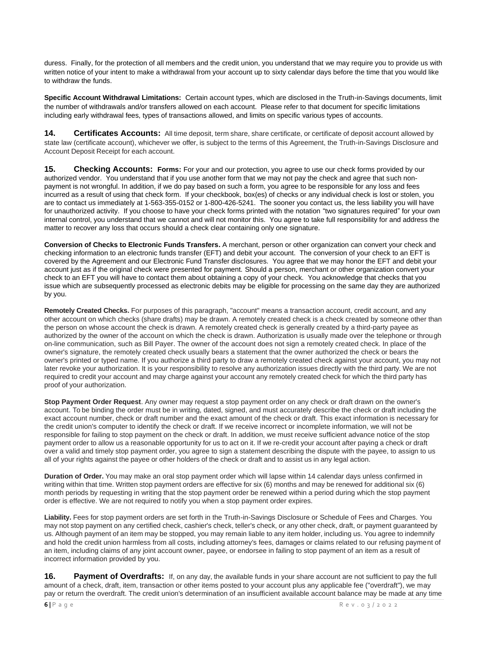duress. Finally, for the protection of all members and the credit union, you understand that we may require you to provide us with written notice of your intent to make a withdrawal from your account up to sixty calendar days before the time that you would like to withdraw the funds.

**Specific Account Withdrawal Limitations:** Certain account types, which are disclosed in the Truth-in-Savings documents, limit the number of withdrawals and/or transfers allowed on each account. Please refer to that document for specific limitations including early withdrawal fees, types of transactions allowed, and limits on specific various types of accounts.

**14. Certificates Accounts:** All time deposit, term share, share certificate, or certificate of deposit account allowed by state law (certificate account), whichever we offer, is subject to the terms of this Agreement, the Truth-in-Savings Disclosure and Account Deposit Receipt for each account.

**15. Checking Accounts: Forms:** For your and our protection, you agree to use our check forms provided by our authorized vendor. You understand that if you use another form that we may not pay the check and agree that such nonpayment is not wrongful. In addition, if we do pay based on such a form, you agree to be responsible for any loss and fees incurred as a result of using that check form. If your checkbook, box(es) of checks or any individual check is lost or stolen, you are to contact us immediately at 1-563-355-0152 or 1-800-426-5241. The sooner you contact us, the less liability you will have for unauthorized activity. If you choose to have your check forms printed with the notation "two signatures required" for your own internal control, you understand that we cannot and will not monitor this. You agree to take full responsibility for and address the matter to recover any loss that occurs should a check clear containing only one signature.

**Conversion of Checks to Electronic Funds Transfers.** A merchant, person or other organization can convert your check and checking information to an electronic funds transfer (EFT) and debit your account. The conversion of your check to an EFT is covered by the Agreement and our Electronic Fund Transfer disclosures. You agree that we may honor the EFT and debit your account just as if the original check were presented for payment. Should a person, merchant or other organization convert your check to an EFT you will have to contact them about obtaining a copy of your check. You acknowledge that checks that you issue which are subsequently processed as electronic debits may be eligible for processing on the same day they are authorized by you.

**Remotely Created Checks.** For purposes of this paragraph, "account" means a transaction account, credit account, and any other account on which checks (share drafts) may be drawn. A remotely created check is a check created by someone other than the person on whose account the check is drawn. A remotely created check is generally created by a third-party payee as authorized by the owner of the account on which the check is drawn. Authorization is usually made over the telephone or through on-line communication, such as Bill Payer. The owner of the account does not sign a remotely created check. In place of the owner's signature, the remotely created check usually bears a statement that the owner authorized the check or bears the owner's printed or typed name. If you authorize a third party to draw a remotely created check against your account, you may not later revoke your authorization. It is your responsibility to resolve any authorization issues directly with the third party. We are not required to credit your account and may charge against your account any remotely created check for which the third party has proof of your authorization.

**Stop Payment Order Request**. Any owner may request a stop payment order on any check or draft drawn on the owner's account. To be binding the order must be in writing, dated, signed, and must accurately describe the check or draft including the exact account number, check or draft number and the exact amount of the check or draft. This exact information is necessary for the credit union's computer to identify the check or draft. If we receive incorrect or incomplete information, we will not be responsible for failing to stop payment on the check or draft. In addition, we must receive sufficient advance notice of the stop payment order to allow us a reasonable opportunity for us to act on it. If we re-credit your account after paying a check or draft over a valid and timely stop payment order, you agree to sign a statement describing the dispute with the payee, to assign to us all of your rights against the payee or other holders of the check or draft and to assist us in any legal action.

**Duration of Order.** You may make an oral stop payment order which will lapse within 14 calendar days unless confirmed in writing within that time. Written stop payment orders are effective for six (6) months and may be renewed for additional six (6) month periods by requesting in writing that the stop payment order be renewed within a period during which the stop payment order is effective. We are not required to notify you when a stop payment order expires.

**Liability.** Fees for stop payment orders are set forth in the Truth-in-Savings Disclosure or Schedule of Fees and Charges. You may not stop payment on any certified check, cashier's check, teller's check, or any other check, draft, or payment guaranteed by us. Although payment of an item may be stopped, you may remain liable to any item holder, including us. You agree to indemnify and hold the credit union harmless from all costs, including attorney's fees, damages or claims related to our refusing payment of an item, including claims of any joint account owner, payee, or endorsee in failing to stop payment of an item as a result of incorrect information provided by you.

**16.** Payment of Overdrafts: If, on any day, the available funds in your share account are not sufficient to pay the full amount of a check, draft, item, transaction or other items posted to your account plus any applicable fee ("overdraft"), we may pay or return the overdraft. The credit union's determination of an insufficient available account balance may be made at any time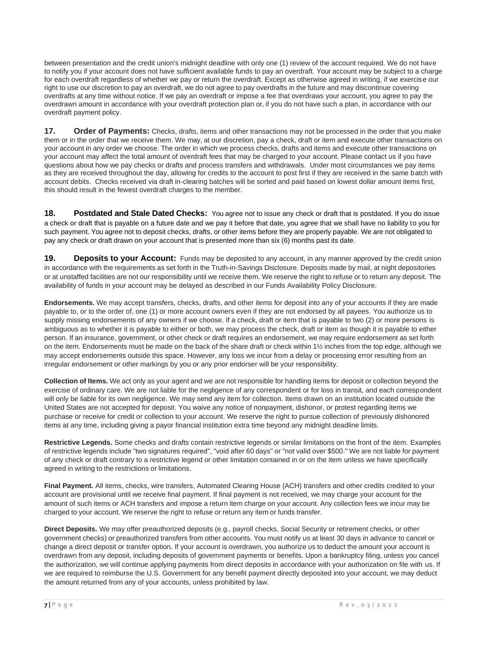between presentation and the credit union's midnight deadline with only one (1) review of the account required. We do not have to notify you if your account does not have sufficient available funds to pay an overdraft. Your account may be subject to a charge for each overdraft regardless of whether we pay or return the overdraft. Except as otherwise agreed in writing, if we exercise our right to use our discretion to pay an overdraft, we do not agree to pay overdrafts in the future and may discontinue covering overdrafts at any time without notice. If we pay an overdraft or impose a fee that overdraws your account, you agree to pay the overdrawn amount in accordance with your overdraft protection plan or, if you do not have such a plan, in accordance with our overdraft payment policy.

**17. Order of Payments:** Checks, drafts, items and other transactions may not be processed in the order that you make them or in the order that we receive them. We may, at our discretion, pay a check, draft or item and execute other transactions on your account in any order we choose. The order in which we process checks, drafts and items and execute other transactions on your account may affect the total amount of overdraft fees that may be charged to your account. Please contact us if you have questions about how we pay checks or drafts and process transfers and withdrawals. Under most circumstances we pay items as they are received throughout the day, allowing for credits to the account to post first if they are received in the same batch with account debits. Checks received via draft in-clearing batches will be sorted and paid based on lowest dollar amount items first, this should result in the fewest overdraft charges to the member.

**18. Postdated and Stale Dated Checks:** You agree not to issue any check or draft that is postdated. If you do issue a check or draft that is payable on a future date and we pay it before that date, you agree that we shall have no liability to you for such payment. You agree not to deposit checks, drafts, or other items before they are properly payable. We are not obligated to pay any check or draft drawn on your account that is presented more than six (6) months past its date.

**19. Deposits to your Account:** Funds may be deposited to any account, in any manner approved by the credit union in accordance with the requirements as set forth in the Truth-in-Savings Disclosure. Deposits made by mail, at night depositories or at unstaffed facilities are not our responsibility until we receive them. We reserve the right to refuse or to return any deposit. The availability of funds in your account may be delayed as described in our Funds Availability Policy Disclosure.

**Endorsements.** We may accept transfers, checks, drafts, and other items for deposit into any of your accounts if they are made payable to, or to the order of, one (1) or more account owners even if they are not endorsed by all payees. You authorize us to supply missing endorsements of any owners if we choose. If a check, draft or item that is payable to two (2) or more persons is ambiguous as to whether it is payable to either or both, we may process the check, draft or item as though it is payable to either person. If an insurance, government, or other check or draft requires an endorsement, we may require endorsement as set forth on the item. Endorsements must be made on the back of the share draft or check within 1½ inches from the top edge, although we may accept endorsements outside this space. However, any loss we incur from a delay or processing error resulting from an irregular endorsement or other markings by you or any prior endorser will be your responsibility.

**Collection of Items.** We act only as your agent and we are not responsible for handling items for deposit or collection beyond the exercise of ordinary care. We are not liable for the negligence of any correspondent or for loss in transit, and each correspondent will only be liable for its own negligence. We may send any item for collection. Items drawn on an institution located outside the United States are not accepted for deposit. You waive any notice of nonpayment, dishonor, or protest regarding items we purchase or receive for credit or collection to your account. We reserve the right to pursue collection of previously dishonored items at any time, including giving a payor financial institution extra time beyond any midnight deadline limits.

**Restrictive Legends.** Some checks and drafts contain restrictive legends or similar limitations on the front of the item. Examples of restrictive legends include "two signatures required", "void after 60 days" or "not valid over \$500." We are not liable for payment of any check or draft contrary to a restrictive legend or other limitation contained in or on the item unless we have specifically agreed in writing to the restrictions or limitations.

**Final Payment.** All items, checks, wire transfers, Automated Clearing House (ACH) transfers and other credits credited to your account are provisional until we receive final payment. If final payment is not received, we may charge your account for the amount of such items or ACH transfers and impose a return item charge on your account. Any collection fees we incur may be charged to your account. We reserve the right to refuse or return any item or funds transfer.

**Direct Deposits.** We may offer preauthorized deposits (e.g., payroll checks, Social Security or retirement checks, or other government checks) or preauthorized transfers from other accounts. You must notify us at least 30 days in advance to cancel or change a direct deposit or transfer option. If your account is overdrawn, you authorize us to deduct the amount your account is overdrawn from any deposit, including deposits of government payments or benefits. Upon a bankruptcy filing, unless you cancel the authorization, we will continue applying payments from direct deposits in accordance with your authorization on file with us. If we are required to reimburse the U.S. Government for any benefit payment directly deposited into your account, we may deduct the amount returned from any of your accounts, unless prohibited by law.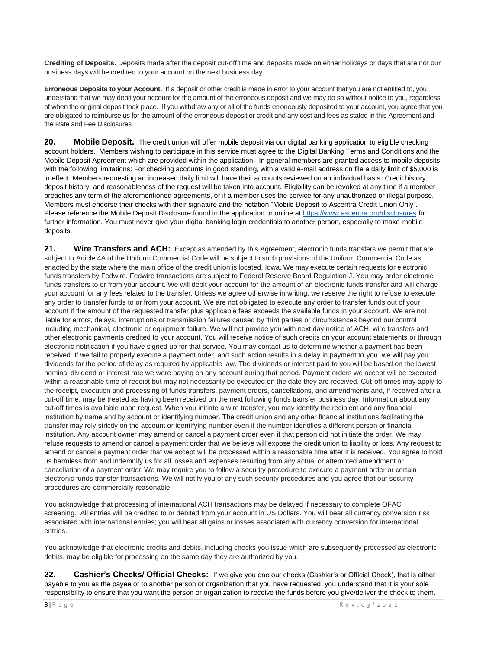**Crediting of Deposits.** Deposits made after the deposit cut-off time and deposits made on either holidays or days that are not our business days will be credited to your account on the next business day.

**Erroneous Deposits to your Account.** If a deposit or other credit is made in error to your account that you are not entitled to, you understand that we may debit your account for the amount of the erroneous deposit and we may do so without notice to you, regardless of when the original deposit took place. If you withdraw any or all of the funds erroneously deposited to your account, you agree that you are obligated to reimburse us for the amount of the erroneous deposit or credit and any cost and fees as stated in this Agreement and the Rate and Fee Disclosures

**20. Mobile Deposit.** The credit union will offer mobile deposit via our digital banking application to eligible checking account holders. Members wishing to participate in this service must agree to the Digital Banking Terms and Conditions and the Mobile Deposit Agreement which are provided within the application. In general members are granted access to mobile deposits with the following limitations: For checking accounts in good standing, with a valid e-mail address on file a daily limit of \$5,000 is in effect. Members requesting an increased daily limit will have their accounts reviewed on an individual basis. Credit history, deposit history, and reasonableness of the request will be taken into account. Eligibility can be revoked at any time if a member breaches any term of the aforementioned agreements, or if a member uses the service for any unauthorized or illegal purpose. Members must endorse their checks with their signature and the notation "Mobile Deposit to Ascentra Credit Union Only". Please reference the Mobile Deposit Disclosure found in the application or online a[t https://www.ascentra.org/disclosures](https://www.ascentra.org/disclosures) for further information. You must never give your digital banking login credentials to another person, especially to make mobile deposits.

**21. Wire Transfers and ACH:** Except as amended by this Agreement, electronic funds transfers we permit that are subject to Article 4A of the Uniform Commercial Code will be subject to such provisions of the Uniform Commercial Code as enacted by the state where the main office of the credit union is located, Iowa. We may execute certain requests for electronic funds transfers by Fedwire. Fedwire transactions are subject to Federal Reserve Board Regulation J. You may order electronic funds transfers to or from your account. We will debit your account for the amount of an electronic funds transfer and will charge your account for any fees related to the transfer. Unless we agree otherwise in writing, we reserve the right to refuse to execute any order to transfer funds to or from your account. We are not obligated to execute any order to transfer funds out of your account if the amount of the requested transfer plus applicable fees exceeds the available funds in your account. We are not liable for errors, delays, interruptions or transmission failures caused by third parties or circumstances beyond our control including mechanical, electronic or equipment failure. We will not provide you with next day notice of ACH, wire transfers and other electronic payments credited to your account. You will receive notice of such credits on your account statements or through electronic notification if you have signed up for that service. You may contact us to determine whether a payment has been received. If we fail to properly execute a payment order, and such action results in a delay in payment to you, we will pay you dividends for the period of delay as required by applicable law. The dividends or interest paid to you will be based on the lowest nominal dividend or interest rate we were paying on any account during that period. Payment orders we accept will be executed within a reasonable time of receipt but may not necessarily be executed on the date they are received. Cut-off times may apply to the receipt, execution and processing of funds transfers, payment orders, cancellations, and amendments and, if received after a cut-off time, may be treated as having been received on the next following funds transfer business day. Information about any cut-off times is available upon request. When you initiate a wire transfer, you may identify the recipient and any financial institution by name and by account or identifying number. The credit union and any other financial institutions facilitating the transfer may rely strictly on the account or identifying number even if the number identifies a different person or financial institution. Any account owner may amend or cancel a payment order even if that person did not initiate the order. We may refuse requests to amend or cancel a payment order that we believe will expose the credit union to liability or loss. Any request to amend or cancel a payment order that we accept will be processed within a reasonable time after it is received. You agree to hold us harmless from and indemnify us for all losses and expenses resulting from any actual or attempted amendment or cancellation of a payment order. We may require you to follow a security procedure to execute a payment order or certain electronic funds transfer transactions. We will notify you of any such security procedures and you agree that our security procedures are commercially reasonable.

You acknowledge that processing of international ACH transactions may be delayed if necessary to complete OFAC screening. All entries will be credited to or debited from your account in US Dollars. You will bear all currency conversion risk associated with international entries; you will bear all gains or losses associated with currency conversion for international entries.

You acknowledge that electronic credits and debits, including checks you issue which are subsequently processed as electronic debits, may be eligible for processing on the same day they are authorized by you.

**22. Cashier's Checks/ Official Checks:** If we give you one our checks (Cashier's or Official Check), that is either payable to you as the payee or to another person or organization that you have requested, you understand that it is your sole responsibility to ensure that you want the person or organization to receive the funds before you give/deliver the check to them.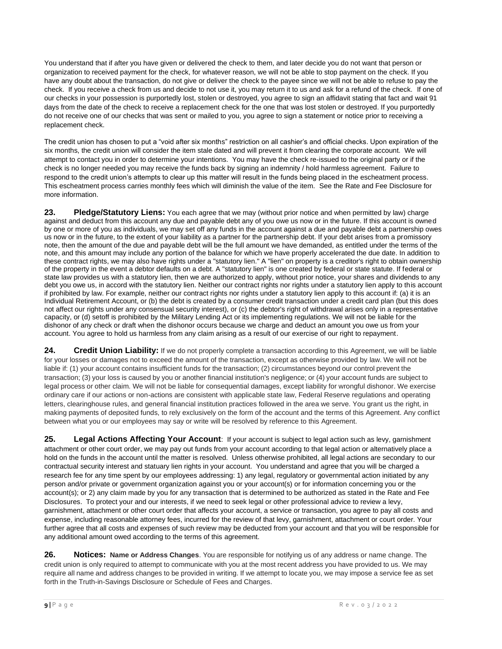You understand that if after you have given or delivered the check to them, and later decide you do not want that person or organization to received payment for the check, for whatever reason, we will not be able to stop payment on the check. If you have any doubt about the transaction, do not give or deliver the check to the payee since we will not be able to refuse to pay the check. If you receive a check from us and decide to not use it, you may return it to us and ask for a refund of the check. If one of our checks in your possession is purportedly lost, stolen or destroyed, you agree to sign an affidavit stating that fact and wait 91 days from the date of the check to receive a replacement check for the one that was lost stolen or destroyed. If you purportedly do not receive one of our checks that was sent or mailed to you, you agree to sign a statement or notice prior to receiving a replacement check.

The credit union has chosen to put a "void after six months" restriction on all cashier's and official checks. Upon expiration of the six months, the credit union will consider the item stale dated and will prevent it from clearing the corporate account. We will attempt to contact you in order to determine your intentions. You may have the check re-issued to the original party or if the check is no longer needed you may receive the funds back by signing an indemnity / hold harmless agreement. Failure to respond to the credit union's attempts to clear up this matter will result in the funds being placed in the escheatment process. This escheatment process carries monthly fees which will diminish the value of the item. See the Rate and Fee Disclosure for more information.

**23. Pledge/Statutory Liens:** You each agree that we may (without prior notice and when permitted by law) charge against and deduct from this account any due and payable debt any of you owe us now or in the future. If this account is owned by one or more of you as individuals, we may set off any funds in the account against a due and payable debt a partnership owes us now or in the future, to the extent of your liability as a partner for the partnership debt. If your debt arises from a promissory note, then the amount of the due and payable debt will be the full amount we have demanded, as entitled under the terms of the note, and this amount may include any portion of the balance for which we have properly accelerated the due date. In addition to these contract rights, we may also have rights under a "statutory lien." A "lien" on property is a creditor's right to obtain ownership of the property in the event a debtor defaults on a debt. A "statutory lien" is one created by federal or state statute. If federal or state law provides us with a statutory lien, then we are authorized to apply, without prior notice, your shares and dividends to any debt you owe us, in accord with the statutory lien. Neither our contract rights nor rights under a statutory lien apply to this account if prohibited by law. For example, neither our contract rights nor rights under a statutory lien apply to this account if: (a) it is an Individual Retirement Account, or (b) the debt is created by a consumer credit transaction under a credit card plan (but this does not affect our rights under any consensual security interest), or (c) the debtor's right of withdrawal arises only in a representative capacity, or (d) setoff is prohibited by the Military Lending Act or its implementing regulations. We will not be liable for the dishonor of any check or draft when the dishonor occurs because we charge and deduct an amount you owe us from your account. You agree to hold us harmless from any claim arising as a result of our exercise of our right to repayment.

**24. Credit Union Liability:** If we do not properly complete a transaction according to this Agreement, we will be liable for your losses or damages not to exceed the amount of the transaction, except as otherwise provided by law. We will not be liable if: (1) your account contains insufficient funds for the transaction; (2) circumstances beyond our control prevent the transaction; (3) your loss is caused by you or another financial institution's negligence; or (4) your account funds are subject to legal process or other claim. We will not be liable for consequential damages, except liability for wrongful dishonor. We exercise ordinary care if our actions or non-actions are consistent with applicable state law, Federal Reserve regulations and operating letters, clearinghouse rules, and general financial institution practices followed in the area we serve. You grant us the right, in making payments of deposited funds, to rely exclusively on the form of the account and the terms of this Agreement. Any conflict between what you or our employees may say or write will be resolved by reference to this Agreement.

**25. Legal Actions Affecting Your Account**: If your account is subject to legal action such as levy, garnishment attachment or other court order, we may pay out funds from your account according to that legal action or alternatively place a hold on the funds in the account until the matter is resolved. Unless otherwise prohibited, all legal actions are secondary to our contractual security interest and statuary lien rights in your account. You understand and agree that you will be charged a research fee for any time spent by our employees addressing: 1) any legal, regulatory or governmental action initiated by any person and/or private or government organization against you or your account(s) or for information concerning you or the account(s); or 2) any claim made by you for any transaction that is determined to be authorized as stated in the Rate and Fee Disclosures. To protect your and our interests, if we need to seek legal or other professional advice to review a levy, garnishment, attachment or other court order that affects your account, a service or transaction, you agree to pay all costs and expense, including reasonable attorney fees, incurred for the review of that levy, garnishment, attachment or court order. Your further agree that all costs and expenses of such review may be deducted from your account and that you will be responsible for any additional amount owed according to the terms of this agreement.

**26. Notices: Name or Address Changes**. You are responsible for notifying us of any address or name change. The credit union is only required to attempt to communicate with you at the most recent address you have provided to us. We may require all name and address changes to be provided in writing. If we attempt to locate you, we may impose a service fee as set forth in the Truth-in-Savings Disclosure or Schedule of Fees and Charges.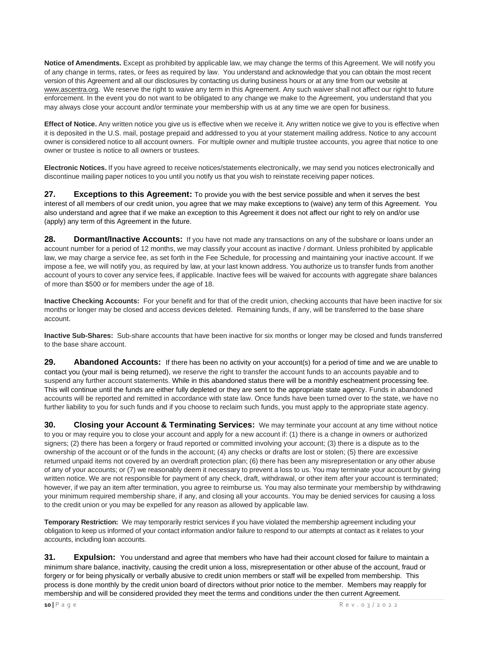**Notice of Amendments.** Except as prohibited by applicable law, we may change the terms of this Agreement. We will notify you of any change in terms, rates, or fees as required by law. You understand and acknowledge that you can obtain the most recent version of this Agreement and all our disclosures by contacting us during business hours or at any time from our website at www.ascentra.org. We reserve the right to waive any term in this Agreement. Any such waiver shall not affect our right to future enforcement. In the event you do not want to be obligated to any change we make to the Agreement, you understand that you may always close your account and/or terminate your membership with us at any time we are open for business.

**Effect of Notice.** Any written notice you give us is effective when we receive it. Any written notice we give to you is effective when it is deposited in the U.S. mail, postage prepaid and addressed to you at your statement mailing address. Notice to any account owner is considered notice to all account owners. For multiple owner and multiple trustee accounts, you agree that notice to one owner or trustee is notice to all owners or trustees.

**Electronic Notices.** If you have agreed to receive notices/statements electronically, we may send you notices electronically and discontinue mailing paper notices to you until you notify us that you wish to reinstate receiving paper notices.

**27. Exceptions to this Agreement:** To provide you with the best service possible and when it serves the best interest of all members of our credit union, you agree that we may make exceptions to (waive) any term of this Agreement. You also understand and agree that if we make an exception to this Agreement it does not affect our right to rely on and/or use (apply) any term of this Agreement in the future.

**28. Dormant/Inactive Accounts:** If you have not made any transactions on any of the subshare or loans under an account number for a period of 12 months, we may classify your account as inactive / dormant. Unless prohibited by applicable law, we may charge a service fee, as set forth in the Fee Schedule, for processing and maintaining your inactive account. If we impose a fee, we will notify you, as required by law, at your last known address. You authorize us to transfer funds from another account of yours to cover any service fees, if applicable. Inactive fees will be waived for accounts with aggregate share balances of more than \$500 or for members under the age of 18.

**Inactive Checking Accounts:** For your benefit and for that of the credit union, checking accounts that have been inactive for six months or longer may be closed and access devices deleted. Remaining funds, if any, will be transferred to the base share account.

**Inactive Sub-Shares:** Sub-share accounts that have been inactive for six months or longer may be closed and funds transferred to the base share account.

**29. Abandoned Accounts:** If there has been no activity on your account(s) for a period of time and we are unable to contact you (your mail is being returned), we reserve the right to transfer the account funds to an accounts payable and to suspend any further account statements. While in this abandoned status there will be a monthly escheatment processing fee. This will continue until the funds are either fully depleted or they are sent to the appropriate state agency. Funds in abandoned accounts will be reported and remitted in accordance with state law. Once funds have been turned over to the state, we have no further liability to you for such funds and if you choose to reclaim such funds, you must apply to the appropriate state agency.

**30. Closing your Account & Terminating Services:** We may terminate your account at any time without notice to you or may require you to close your account and apply for a new account if: (1) there is a change in owners or authorized signers; (2) there has been a forgery or fraud reported or committed involving your account; (3) there is a dispute as to the ownership of the account or of the funds in the account; (4) any checks or drafts are lost or stolen; (5) there are excessive returned unpaid items not covered by an overdraft protection plan; (6) there has been any misrepresentation or any other abuse of any of your accounts; or (7) we reasonably deem it necessary to prevent a loss to us. You may terminate your account by giving written notice. We are not responsible for payment of any check, draft, withdrawal, or other item after your account is terminated; however, if we pay an item after termination, you agree to reimburse us. You may also terminate your membership by withdrawing your minimum required membership share, if any, and closing all your accounts. You may be denied services for causing a loss to the credit union or you may be expelled for any reason as allowed by applicable law.

**Temporary Restriction:** We may temporarily restrict services if you have violated the membership agreement including your obligation to keep us informed of your contact information and/or failure to respond to our attempts at contact as it relates to your accounts, including loan accounts.

**31. Expulsion:** You understand and agree that members who have had their account closed for failure to maintain a minimum share balance, inactivity, causing the credit union a loss, misrepresentation or other abuse of the account, fraud or forgery or for being physically or verbally abusive to credit union members or staff will be expelled from membership. This process is done monthly by the credit union board of directors without prior notice to the member. Members may reapply for membership and will be considered provided they meet the terms and conditions under the then current Agreement.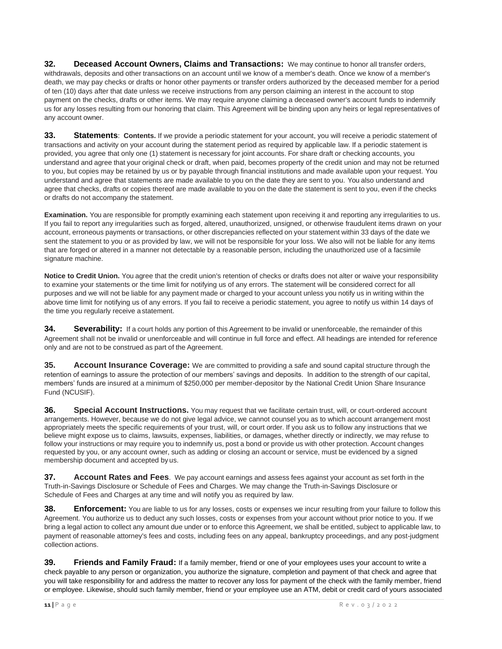**32. Deceased Account Owners, Claims and Transactions:** We may continue to honor all transfer orders, withdrawals, deposits and other transactions on an account until we know of a member's death. Once we know of a member's death, we may pay checks or drafts or honor other payments or transfer orders authorized by the deceased member for a period of ten (10) days after that date unless we receive instructions from any person claiming an interest in the account to stop payment on the checks, drafts or other items. We may require anyone claiming a deceased owner's account funds to indemnify us for any losses resulting from our honoring that claim. This Agreement will be binding upon any heirs or legal representatives of any account owner.

**33. Statements**: **Contents.** If we provide a periodic statement for your account, you will receive a periodic statement of transactions and activity on your account during the statement period as required by applicable law. If a periodic statement is provided, you agree that only one (1) statement is necessary for joint accounts. For share draft or checking accounts, you understand and agree that your original check or draft, when paid, becomes property of the credit union and may not be returned to you, but copies may be retained by us or by payable through financial institutions and made available upon your request. You understand and agree that statements are made available to you on the date they are sent to you. You also understand and agree that checks, drafts or copies thereof are made available to you on the date the statement is sent to you, even if the checks or drafts do not accompany the statement.

**Examination.** You are responsible for promptly examining each statement upon receiving it and reporting any irregularities to us. If you fail to report any irregularities such as forged, altered, unauthorized, unsigned, or otherwise fraudulent items drawn on your account, erroneous payments or transactions, or other discrepancies reflected on your statement within 33 days of the date we sent the statement to you or as provided by law, we will not be responsible for your loss. We also will not be liable for any items that are forged or altered in a manner not detectable by a reasonable person, including the unauthorized use of a facsimile signature machine.

**Notice to Credit Union.** You agree that the credit union's retention of checks or drafts does not alter or waive your responsibility to examine your statements or the time limit for notifying us of any errors. The statement will be considered correct for all purposes and we will not be liable for any payment made or charged to your account unless you notify us in writing within the above time limit for notifying us of any errors. If you fail to receive a periodic statement, you agree to notify us within 14 days of the time you regularly receive astatement.

**34. Severability:** If a court holds any portion of this Agreement to be invalid or unenforceable, the remainder of this Agreement shall not be invalid or unenforceable and will continue in full force and effect. All headings are intended for reference only and are not to be construed as part of the Agreement.

**35. Account Insurance Coverage:** We are committed to providing a safe and sound capital structure through the retention of earnings to assure the protection of our members' savings and deposits. In addition to the strength of our capital, members' funds are insured at a minimum of \$250,000 per member-depositor by the National Credit Union Share Insurance Fund (NCUSIF).

**36. Special Account Instructions.** You may request that we facilitate certain trust, will, or court-ordered account arrangements. However, because we do not give legal advice, we cannot counsel you as to which account arrangement most appropriately meets the specific requirements of your trust, will, or court order. If you ask us to follow any instructions that we believe might expose us to claims, lawsuits, expenses, liabilities, or damages, whether directly or indirectly, we may refuse to follow your instructions or may require you to indemnify us, post a bond or provide us with other protection. Account changes requested by you, or any account owner, such as adding or closing an account or service, must be evidenced by a signed membership document and accepted by us.

**37. Account Rates and Fees**. We pay account earnings and assess fees against your account as set forth in the Truth-in-Savings Disclosure or Schedule of Fees and Charges. We may change the Truth-in-Savings Disclosure or Schedule of Fees and Charges at any time and will notify you as required by law.

**38. Enforcement:** You are liable to us for any losses, costs or expenses we incur resulting from your failure to follow this Agreement. You authorize us to deduct any such losses, costs or expenses from your account without prior notice to you. If we bring a legal action to collect any amount due under or to enforce this Agreement, we shall be entitled, subject to applicable law, to payment of reasonable attorney's fees and costs, including fees on any appeal, bankruptcy proceedings, and any post-judgment collection actions.

**39. Friends and Family Fraud:** If a family member, friend or one of your employees uses your account to write a check payable to any person or organization, you authorize the signature, completion and payment of that check and agree that you will take responsibility for and address the matter to recover any loss for payment of the check with the family member, friend or employee. Likewise, should such family member, friend or your employee use an ATM, debit or credit card of yours associated